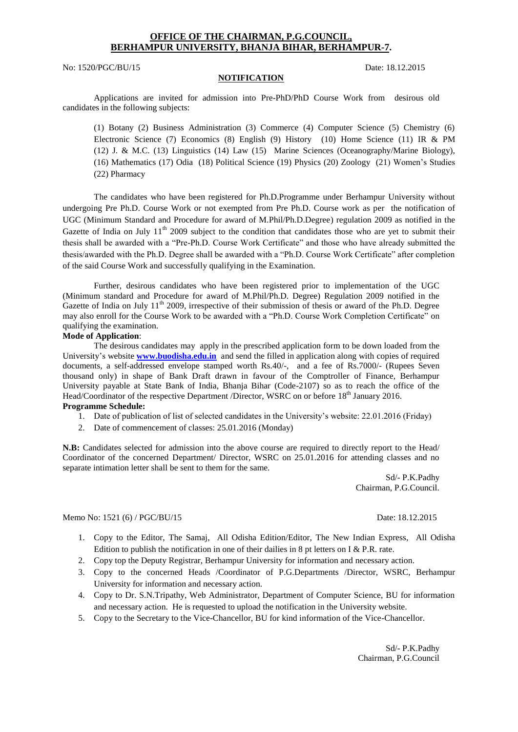## **OFFICE OF THE CHAIRMAN, P.G.COUNCIL, BERHAMPUR UNIVERSITY, BHANJA BIHAR, BERHAMPUR-7.**

No: 1520/PGC/BU/15 Date: 18.12.2015

#### **NOTIFICATION**

Applications are invited for admission into Pre-PhD/PhD Course Work from desirous old candidates in the following subjects:

(1) Botany (2) Business Administration (3) Commerce (4) Computer Science (5) Chemistry (6) Electronic Science (7) Economics (8) English (9) History (10) Home Science (11) IR & PM (12) J. & M.C. (13) Linguistics (14) Law (15) Marine Sciences (Oceanography/Marine Biology), (16) Mathematics (17) Odia (18) Political Science (19) Physics (20) Zoology (21) Women's Studies (22) Pharmacy

The candidates who have been registered for Ph.D.Programme under Berhampur University without undergoing Pre Ph.D. Course Work or not exempted from Pre Ph.D. Course work as per the notification of UGC (Minimum Standard and Procedure for award of M.Phil/Ph.D.Degree) regulation 2009 as notified in the Gazette of India on July  $11<sup>th</sup>$  2009 subject to the condition that candidates those who are yet to submit their thesis shall be awarded with a "Pre-Ph.D. Course Work Certificate" and those who have already submitted the thesis/awarded with the Ph.D. Degree shall be awarded with a "Ph.D. Course Work Certificate" after completion of the said Course Work and successfully qualifying in the Examination.

Further, desirous candidates who have been registered prior to implementation of the UGC (Minimum standard and Procedure for award of M.Phil/Ph.D. Degree) Regulation 2009 notified in the Gazette of India on July 11<sup>th</sup> 2009, irrespective of their submission of thesis or award of the Ph.D. Degree may also enroll for the Course Work to be awarded with a "Ph.D. Course Work Completion Certificate" on qualifying the examination.

#### **Mode of Application**:

The desirous candidates may apply in the prescribed application form to be down loaded from the University's website **[www.buodisha.edu.in](http://www.buodisha.edu.in/)** and send the filled in application along with copies of required documents, a self-addressed envelope stamped worth Rs.40/-, and a fee of Rs.7000/- (Rupees Seven thousand only) in shape of Bank Draft drawn in favour of the Comptroller of Finance, Berhampur University payable at State Bank of India, Bhanja Bihar (Code-2107) so as to reach the office of the Head/Coordinator of the respective Department /Director, WSRC on or before 18<sup>th</sup> January 2016.

### **Programme Schedule:**

- 1. Date of publication of list of selected candidates in the University's website: 22.01.2016 (Friday)
- 2. Date of commencement of classes: 25.01.2016 (Monday)

**N.B:** Candidates selected for admission into the above course are required to directly report to the Head/ Coordinator of the concerned Department/ Director, WSRC on 25.01.2016 for attending classes and no separate intimation letter shall be sent to them for the same.

> Sd/- P.K.Padhy Chairman, P.G.Council.

Memo No: 1521 (6) / PGC/BU/15 Date: 18.12.2015

- 1. Copy to the Editor, The Samaj, All Odisha Edition/Editor, The New Indian Express, All Odisha Edition to publish the notification in one of their dailies in 8 pt letters on I & P.R. rate.
- 2. Copy top the Deputy Registrar, Berhampur University for information and necessary action.
- 3. Copy to the concerned Heads /Coordinator of P.G.Departments /Director, WSRC, Berhampur University for information and necessary action.
- 4. Copy to Dr. S.N.Tripathy, Web Administrator, Department of Computer Science, BU for information and necessary action. He is requested to upload the notification in the University website.
- 5. Copy to the Secretary to the Vice-Chancellor, BU for kind information of the Vice-Chancellor.

Sd/- P.K.Padhy Chairman, P.G.Council